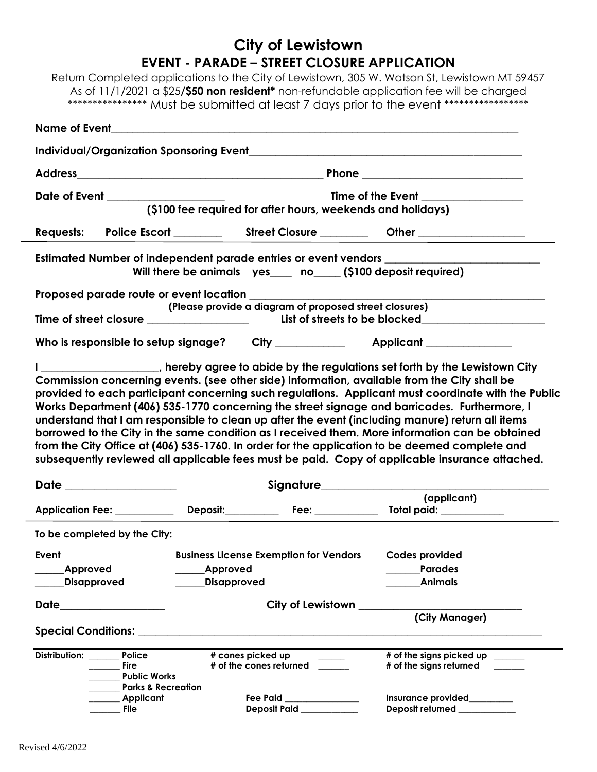# **City of Lewistown EVENT - PARADE – STREET CLOSURE APPLICATION**

Return Completed applications to the City of Lewistown, 305 W. Watson St, Lewistown MT 59457 As of 11/1/2021 a \$25**/\$50 non resident\*** non-refundable application fee will be charged \*\*\*\*\*\*\*\*\*\*\*\*\*\*\*\* Must be submitted at least 7 days prior to the event \*\*\*\*\*\*\*\*\*\*\*\*\*\*\*\*\*

|                       | Date of Event ____________________                                                                | (\$100 fee required for after hours, weekends and holidays)       |                                                                           |  |                                                                                                                                                                                                                                                                                                                                                                                                                                                                                                                                                                                                                                                                                                                                                                                                                    |
|-----------------------|---------------------------------------------------------------------------------------------------|-------------------------------------------------------------------|---------------------------------------------------------------------------|--|--------------------------------------------------------------------------------------------------------------------------------------------------------------------------------------------------------------------------------------------------------------------------------------------------------------------------------------------------------------------------------------------------------------------------------------------------------------------------------------------------------------------------------------------------------------------------------------------------------------------------------------------------------------------------------------------------------------------------------------------------------------------------------------------------------------------|
|                       |                                                                                                   |                                                                   |                                                                           |  |                                                                                                                                                                                                                                                                                                                                                                                                                                                                                                                                                                                                                                                                                                                                                                                                                    |
|                       |                                                                                                   |                                                                   |                                                                           |  | Estimated Number of independent parade entries or event vendors ________________<br>Will there be animals yes ____ no____(\$100 deposit required)                                                                                                                                                                                                                                                                                                                                                                                                                                                                                                                                                                                                                                                                  |
|                       |                                                                                                   |                                                                   | (Please provide a diagram of proposed street closures)                    |  |                                                                                                                                                                                                                                                                                                                                                                                                                                                                                                                                                                                                                                                                                                                                                                                                                    |
|                       |                                                                                                   |                                                                   |                                                                           |  |                                                                                                                                                                                                                                                                                                                                                                                                                                                                                                                                                                                                                                                                                                                                                                                                                    |
|                       |                                                                                                   |                                                                   |                                                                           |  |                                                                                                                                                                                                                                                                                                                                                                                                                                                                                                                                                                                                                                                                                                                                                                                                                    |
|                       |                                                                                                   |                                                                   |                                                                           |  | I ____________________, hereby agree to abide by the regulations set forth by the Lewistown City<br>Commission concerning events. (see other side) Information, available from the City shall be<br>provided to each participant concerning such regulations. Applicant must coordinate with the Public<br>Works Department (406) 535-1770 concerning the street signage and barricades. Furthermore, I<br>understand that I am responsible to clean up after the event (including manure) return all items<br>borrowed to the City in the same condition as I received them. More information can be obtained<br>from the City Office at (406) 535-1760. In order for the application to be deemed complete and<br>subsequently reviewed all applicable fees must be paid. Copy of applicable insurance attached. |
| Date ______________   |                                                                                                   |                                                                   | Signature__________________                                               |  |                                                                                                                                                                                                                                                                                                                                                                                                                                                                                                                                                                                                                                                                                                                                                                                                                    |
|                       |                                                                                                   |                                                                   |                                                                           |  | (applicant)                                                                                                                                                                                                                                                                                                                                                                                                                                                                                                                                                                                                                                                                                                                                                                                                        |
|                       | To be completed by the City:                                                                      |                                                                   |                                                                           |  |                                                                                                                                                                                                                                                                                                                                                                                                                                                                                                                                                                                                                                                                                                                                                                                                                    |
|                       |                                                                                                   | Event Event Business License Exemption for Vendors Codes provided |                                                                           |  |                                                                                                                                                                                                                                                                                                                                                                                                                                                                                                                                                                                                                                                                                                                                                                                                                    |
| Approved              |                                                                                                   | <b>Approved</b>                                                   |                                                                           |  | <b>Parades</b>                                                                                                                                                                                                                                                                                                                                                                                                                                                                                                                                                                                                                                                                                                                                                                                                     |
| Disapproved           |                                                                                                   | <b>Disapproved</b>                                                |                                                                           |  | <b>Animals</b>                                                                                                                                                                                                                                                                                                                                                                                                                                                                                                                                                                                                                                                                                                                                                                                                     |
| Date ________________ |                                                                                                   | City of Lewistown <u>City of Lewistown</u>                        |                                                                           |  |                                                                                                                                                                                                                                                                                                                                                                                                                                                                                                                                                                                                                                                                                                                                                                                                                    |
|                       |                                                                                                   |                                                                   |                                                                           |  | (City Manager)                                                                                                                                                                                                                                                                                                                                                                                                                                                                                                                                                                                                                                                                                                                                                                                                     |
| Distribution: Police  | <b>Fire</b><br><b>Public Works</b><br><b>Parks &amp; Recreation</b><br><b>Example 2</b> Applicant |                                                                   | # cones picked up<br># of the cones returned<br>Fee Paid ________________ |  | # of the signs picked up ______<br># of the signs returned<br>Insurance provided________                                                                                                                                                                                                                                                                                                                                                                                                                                                                                                                                                                                                                                                                                                                           |
|                       | File                                                                                              |                                                                   | Deposit Paid__________                                                    |  | Deposit returned ____________                                                                                                                                                                                                                                                                                                                                                                                                                                                                                                                                                                                                                                                                                                                                                                                      |